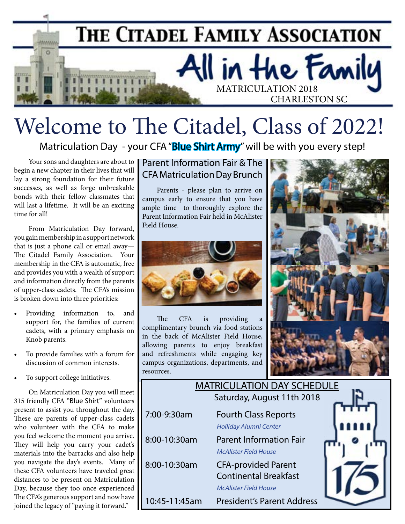

# Welcome to The Citadel, Class of 2022!

Matriculation Day - your CFA "Blue Shirt Army" will be with you every step!

Your sons and daughters are about to begin a new chapter in their lives that will lay a strong foundation for their future successes, as well as forge unbreakable bonds with their fellow classmates that will last a lifetime. It will be an exciting time for all!

From Matriculation Day forward, you gain membership in a support network that is just a phone call or email away— The Citadel Family Association. Your membership in the CFA is automatic, free and provides you with a wealth of support and information directly from the parents of upper-class cadets. The CFA's mission is broken down into three priorities:

- Providing information to, and support for, the families of current cadets, with a primary emphasis on Knob parents.
- To provide families with a forum for discussion of common interests.
- To support college initiatives.

On Matriculation Day you will meet 315 friendly CFA "Blue Shirt" volunteers present to assist you throughout the day. These are parents of upper-class cadets who volunteer with the CFA to make you feel welcome the moment you arrive. They will help you carry your cadet's materials into the barracks and also help you navigate the day's events. Many of these CFA volunteers have traveled great distances to be present on Matriculation Day, because they too once experienced The CFA's generous support and now have joined the legacy of "paying it forward."

ֺ֞֝֬

### Parent Information Fair & The CFA Matriculation Day Brunch

Parents - please plan to arrive on campus early to ensure that you have ample time to thoroughly explore the Parent Information Fair held in McAlister Field House.



The CFA is providing a complimentary brunch via food stations in the back of McAlister Field House, allowing parents to enjoy breakfast and refreshments while engaging key campus organizations, departments, and resources.



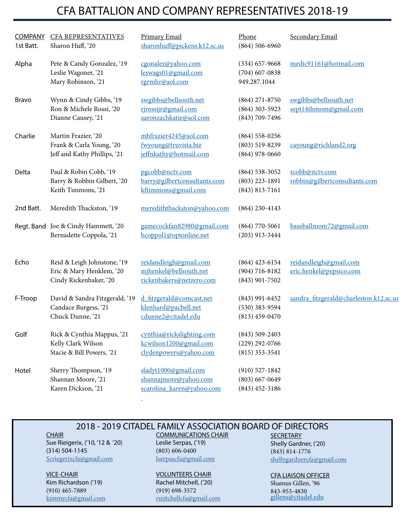## CFA BATTALION AND COMPANY REPRESENTATIVES 2018-19

| <b>COMPANY</b><br>1st Batt. | <b>CFA REPRESENTATIVES</b><br>Sharon Huff, '20                                    | <b>Primary Email</b><br>sharonhuff@pickens.k12.sc.us                          | Phone<br>$(864) 506 - 6960$                                  | Secondary Email                                   |
|-----------------------------|-----------------------------------------------------------------------------------|-------------------------------------------------------------------------------|--------------------------------------------------------------|---------------------------------------------------|
| Alpha                       | Pete & Candy Gonzalez, '19<br>Leslie Wagoner, '21<br>Mary Robinson, '21           | cgonalez@yahoo.com<br>leswags01@gmail.com<br>rgrmhr@aol.com                   | $(334)$ 657-9668<br>$(704)$ 607-0838<br>949.287.1044         | medic91161@hotmail.com                            |
| <b>Bravo</b>                | Wynn & Cindy Gibbs, '19<br>Ron & Michele Rossi, '20<br>Dianne Causey, '21         | swgibbs@bellsouth.net<br>rjrossijr@gmail.com<br>aaronzachkatie@aol.com        | $(864)$ 271-8750<br>$(864)$ 303-5923<br>$(843) 709 - 7496$   | swgibbs@bellsouth.net<br>sept14thmom@gmail.com    |
| Charlie                     | Martin Frazier, '20<br>Frank & Carla Young, '20<br>Jeff and Kathy Phillips, '21   | mbfrazier4245@aol.com<br>fwyoung@truvista.biz<br>jeffnkathy@hotmail.com       | $(864)$ 558-0256<br>$(803)$ 519-8239<br>$(864)$ 978-0660     | cayoung@richland2.org                             |
| Delta                       | Paul & Robin Cobb, '19<br>Barry & Robbin Gilbert, '20<br>Keith Timmons, '21       | pgcobb@nctv.com<br>barry@gilbertconsultants.com<br>kftimmons@gmail.com        | $(864) 538 - 3052$<br>$(803)$ 223-1891<br>$(843) 813 - 7161$ | rcobb@nctv.com<br>robbin@gilbertconsultants.com   |
| 2nd Batt.                   | Meredith Thackston, '19                                                           | merediththackston@yahoo.com                                                   | $(864)$ 230-4143                                             |                                                   |
|                             | Regt. Band Joe & Cindy Hammett, '20<br>Bernadette Coppola, '21                    | gamecockfan82980@gmail.com<br>bcoppol1@optonline.net                          | $(864)$ 770-5061<br>$(203)$ 913-3444                         | baseballmom72@gmail.com                           |
| Echo                        | Reid & Leigh Johnstone, '19<br>Eric & Mary Henklem, '20<br>Cindy Rickenbaker, '20 | reidandleigh@gmail.com<br>mjhenkel@bellsouth.net<br>rickenbakers@netzero.com  | $(864)$ 423-6154<br>$(904) 716 - 8182$<br>$(843)$ 901-7502   | reidandleigh@gmail.com<br>eric.henkel@pepsico.com |
| F-Troop                     | David & Sandra Fitzgerald, '19<br>Candace Burgess, '21<br>Chuck Dunne, '21        | d_fitzgerald@comcast.net<br>klenhard@pacbell.net<br>cdunne2@citadel.edu       | $(843)$ 991-6452<br>$(530)$ 383-9594<br>$(813)$ 459-0470     | sandra fitzgerald@charleston.k12.sc.us            |
| Golf                        | Rick & Cynthia Mappus, '21<br>Kelly Clark Wilson<br>Stacie & Bill Powers, '21     | cynthia@rickslighting.com<br>kcwilson1200@gmail.com<br>clydenpowers@yahoo.com | $(843) 509 - 2403$<br>$(229)$ 292-0766<br>$(815)$ 353-3541   |                                                   |
| Hotel                       | Sherry Thompson, '19<br>Shannan Moore, '21<br>Karen Dickson, '21                  | sladyt1000@gmail.com<br>shannajmore@yahoo.com<br>scarolina karen@yahoo.com    | $(910) 527 - 1842$<br>$(803) 667 - 0649$<br>$(843)$ 452-3186 |                                                   |

### 2018 - 2019 CITADEL FAMILY ASSOCIATION BOARD OF DIRECTORS

**CHAIR** Sue Rieigerix, ('10, '12 & '20) (314) 504-1145 [Scriegerixcfa@gmail.com](mailto:Scriegerixcfa%40gmail.com?subject=)

VICE-CHAIR Kim Richardson ('19) (910) 465-7889 [kimmycfa@gmail.com](mailto:kimmycfa%40gmail.com?subject=)

#### COMMUNICATIONS CHAIR Leslie Serpas, ('19) (803) 606-0400 [lserpascfa@gmail.com](mailto:lserpascfa%40gmail.com%20?subject=)

VOLUNTEERS CHAIR

Rachel Mitchell, ('20) (919) 698-3572 [rmitchellcfa@gmail.com](mailto:rmitchellcfa%40gmail.com?subject=) **SECRETARY** Shelly Gardner, ('20) (843) 814-1776 [shellygardnercfa@gmail.com](mailto:shellygardnercfa%40gmail.com?subject=)

#### CFA LIAISON OFFICER

Shamus Gillen, '96 843-953-4830 [gillens@citadel.edu](mailto:gillens@citadel.edu)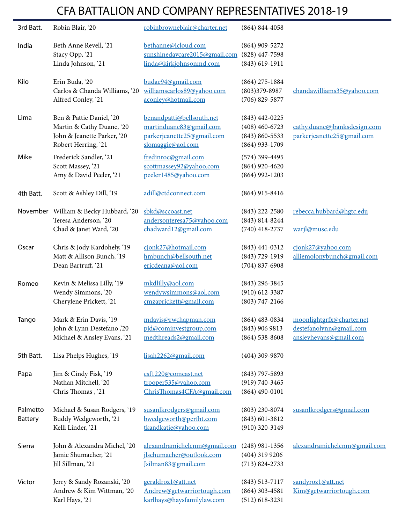# CFA BATTALION AND COMPANY REPRESENTATIVES 2018-19

| 3rd Batt.                  | Robin Blair, '20                                                                                            | robinbrowneblair@charter.net                                                                            | $(864) 844 - 4058$                                                             |                                                                                |
|----------------------------|-------------------------------------------------------------------------------------------------------------|---------------------------------------------------------------------------------------------------------|--------------------------------------------------------------------------------|--------------------------------------------------------------------------------|
| India                      | Beth Anne Revell, '21<br>Stacy Opp, '21<br>Linda Johnson, '21                                               | bethanne@icloud.com<br>sunshinedaycare2015@gmail.com<br>linda@kirkjohnsonmd.com                         | $(864)$ 909-5272<br>$(828)$ 447-7598<br>$(843) 619 - 1911$                     |                                                                                |
| Kilo                       | Erin Buda, '20<br>Carlos & Chanda Williams, '20<br>Alfred Conley, '21                                       | budae94@gmail.com<br>williamscarlos89@yahoo.com<br>aconley@hotmail.com                                  | $(864)$ 275-1884<br>$(803)379 - 8987$<br>$(706)$ 829-5877                      | chandawilliams35@yahoo.com                                                     |
| Lima                       | Ben & Pattie Daniel, '20<br>Martin & Cathy Duane, '20<br>John & Jeanette Parker, '20<br>Robert Herring, '21 | benandpatti@bellsouth.net<br>martinduane83@gmail.com<br>parkerjeanette25@gmail.com<br>slomaggie@aol.com | $(843)$ 442-0225<br>$(408)$ 460-6723<br>$(843) 860 - 5533$<br>$(864)$ 933-1709 | cathy.duane@jbanksdesign.com<br>parkerjeanette25@gmail.com                     |
| Mike                       | Frederick Sandler, '21<br>Scott Massey, '21<br>Amy & David Peeler, '21                                      | fredinroc@gmail.com<br>scottmassey92@yahoo.com<br>peeler1485@yahoo.com                                  | $(574)$ 399-4495<br>$(864)$ 920-4620<br>$(864)$ 992-1203                       |                                                                                |
| 4th Batt.                  | Scott & Ashley Dill, '19                                                                                    | adill@ctdconnect.com                                                                                    | $(864)$ 915-8416                                                               |                                                                                |
|                            | November William & Becky Hubbard, '20<br>Teresa Anderson, '20                                               | sbkd@sccoast.net<br>andersonteresa75@yahoo.com                                                          | $(843)$ 222-2580<br>$(843) 814 - 8244$                                         | rebecca.hubbard@hgtc.edu                                                       |
|                            | Chad & Janet Ward, '20                                                                                      | chadward12@gmail.com                                                                                    | $(740)$ 418-2737                                                               | warjl@musc.edu                                                                 |
| Oscar                      | Chris & Jody Kardohely, '19<br>Matt & Allison Bunch, '19<br>Dean Bartruff, '21                              | cjonk27@hotmail.com<br>hmbunch@bellsouth.net<br>ericdeana@aol.com                                       | $(843)$ 441-0312<br>$(843) 729 - 1919$<br>$(704)$ 837-6908                     | cjonk27@yahoo.com<br>alliemolonybunch@gmail.com                                |
| Romeo                      | Kevin & Melissa Lilly, '19<br>Wendy Simmons, '20<br>Cherylene Prickett, '21                                 | mkdlilly@aol.com<br>wendywsimmons@aol.com<br>cmzaprickett@gmail.com                                     | $(843)$ 296-3845<br>$(910)$ 612-3387<br>$(803) 747 - 2166$                     |                                                                                |
| Tango                      | Mark & Erin Davis, '19<br>John & Lynn Destefano ,'20<br>Michael & Ansley Evans, '21                         | mdavis@rwchapman.com<br>pjd@cominvestgroup.com<br>medthreads2@gmail.com                                 | $(864)$ 483-0834<br>$(843)$ 906 9813<br>$(864) 538 - 8608$                     | moonlightgrfx@charter.net<br>destefanolynn@gmail.com<br>ansleyhevans@gmail.com |
| 5th Batt.                  | Lisa Phelps Hughes, '19                                                                                     | lisah2262@gmail.com                                                                                     | $(404)$ 309-9870                                                               |                                                                                |
| Papa                       | Jim & Cindy Fisk, '19<br>Nathan Mitchell, '20<br>Chris Thomas, '21                                          | csf1220@comcast.net<br>trooper535@yahoo.com<br>ChrisThomas4CFA@gmail.com                                | $(843)$ 797-5893<br>$(919) 740 - 3465$<br>$(864)$ 490-0101                     |                                                                                |
| Palmetto<br><b>Battery</b> | Michael & Susan Rodgers, '19<br>Buddy Wedgeworth, '21<br>Kelli Linder, '21                                  | susanlkrodgers@gmail.com<br>bwedgeworth@perfht.com<br>tkandkatie@yahoo.com                              | $(803)$ 230-8074<br>$(843)$ 601-3812<br>$(910)$ 320-3149                       | susanlkrodgers@gmail.com                                                       |
| Sierra                     | John & Alexandra Michel, '20<br>Jamie Shumacher, '21<br>Jill Sillman, '21                                   | alexandramichelcnm@gmail.com<br>jlschumacher@outlook.com<br>Isilman83@gmail.com                         | $(248)$ 981-1356<br>$(404)$ 319 9206<br>$(713) 824 - 2733$                     | alexandramichelcnm@gmail.com                                                   |
| Victor                     | Jerry & Sandy Rozanski, '20<br>Andrew & Kim Wittman, '20<br>Karl Hays, '21                                  | geraldroz1@att.net<br>Andrew@getwarriortough.com<br>karlhays@haysfamilylaw.com                          | $(843) 513 - 7117$<br>$(864)$ 303-4581<br>$(512)$ 618-3231                     | sandyroz1@att.net<br>Kim@getwarriortough.com                                   |